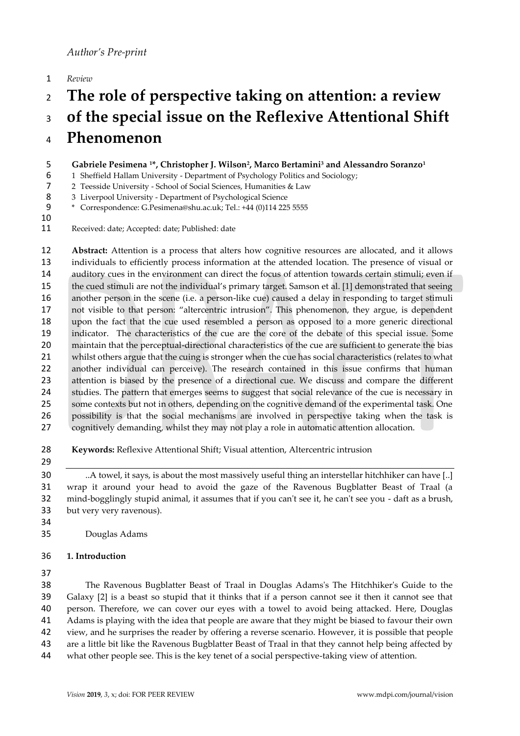*Review*

# **The role of perspective taking on attention: a review of the special issue on the Reflexive Attentional Shift**

# **Phenomenon**

- **Gabriele Pesimena 1\*, Christopher J. Wilson<sup>2</sup> , Marco Bertamini<sup>3</sup> and Alessandro Soranzo<sup>1</sup>**
- 1 Sheffield Hallam University Department of Psychology Politics and Sociology;
- 2 Teesside University School of Social Sciences, Humanities & Law
- 8 3 Liverpool University Department of Psychological Science
- \* Correspondence: G.Pesimena@shu.ac.uk; Tel.: +44 (0)114 225 5555
- 

Received: date; Accepted: date; Published: date

 **Abstract:** Attention is a process that alters how cognitive resources are allocated, and it allows individuals to efficiently process information at the attended location. The presence of visual or auditory cues in the environment can direct the focus of attention towards certain stimuli; even if the cued stimuli are not the individual's primary target. Samson et al. [1] demonstrated that seeing another person in the scene (i.e. a person-like cue) caused a delay in responding to target stimuli not visible to that person: "altercentric intrusion". This phenomenon, they argue, is dependent upon the fact that the cue used resembled a person as opposed to a more generic directional indicator. The characteristics of the cue are the core of the debate of this special issue. Some maintain that the perceptual-directional characteristics of the cue are sufficient to generate the bias 21 whilst others argue that the cuing is stronger when the cue has social characteristics (relates to what another individual can perceive). The research contained in this issue confirms that human attention is biased by the presence of a directional cue. We discuss and compare the different 24 studies. The pattern that emerges seems to suggest that social relevance of the cue is necessary in 25 some contexts but not in others, depending on the cognitive demand of the experimental task. One possibility is that the social mechanisms are involved in perspective taking when the task is cognitively demanding, whilst they may not play a role in automatic attention allocation.

- **Keywords:** Reflexive Attentional Shift; Visual attention, Altercentric intrusion
- 

 ..A towel, it says, is about the most massively useful thing an interstellar hitchhiker can have [..] wrap it around your head to avoid the gaze of the Ravenous Bugblatter Beast of Traal (a mind-bogglingly stupid animal, it assumes that if you can't see it, he can't see you - daft as a brush, but very very ravenous).

Douglas Adams

# **1. Introduction**

 The Ravenous Bugblatter Beast of Traal in Douglas Adams's The Hitchhiker's Guide to the Galaxy [2] is a beast so stupid that it thinks that if a person cannot see it then it cannot see that person. Therefore, we can cover our eyes with a towel to avoid being attacked. Here, Douglas Adams is playing with the idea that people are aware that they might be biased to favour their own view, and he surprises the reader by offering a reverse scenario. However, it is possible that people are a little bit like the Ravenous Bugblatter Beast of Traal in that they cannot help being affected by what other people see. This is the key tenet of a social perspective-taking view of attention.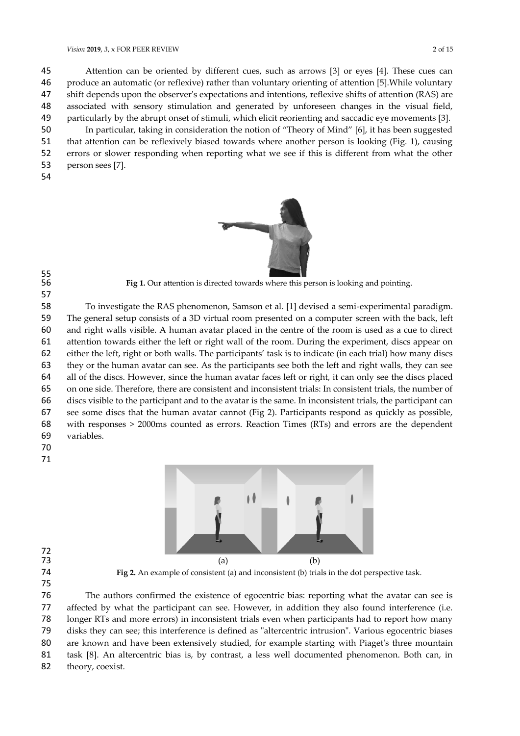Attention can be oriented by different cues, such as arrows [3] or eyes [4]. These cues can produce an automatic (or reflexive) rather than voluntary orienting of attention [5].While voluntary shift depends upon the observer's expectations and intentions, reflexive shifts of attention (RAS) are associated with sensory stimulation and generated by unforeseen changes in the visual field, particularly by the abrupt onset of stimuli, which elicit reorienting and saccadic eye movements [3]. In particular, taking in consideration the notion of "Theory of Mind" [6], it has been suggested that attention can be reflexively biased towards where another person is looking (Fig. 1), causing errors or slower responding when reporting what we see if this is different from what the other person sees [7].





Fig 1. Our attention is directed towards where this person is looking and pointing.

 To investigate the RAS phenomenon, Samson et al. [1] devised a semi-experimental paradigm. The general setup consists of a 3D virtual room presented on a computer screen with the back, left and right walls visible. A human avatar placed in the centre of the room is used as a cue to direct attention towards either the left or right wall of the room. During the experiment, discs appear on either the left, right or both walls. The participants' task is to indicate (in each trial) how many discs they or the human avatar can see. As the participants see both the left and right walls, they can see all of the discs. However, since the human avatar faces left or right, it can only see the discs placed on one side. Therefore, there are consistent and inconsistent trials: In consistent trials, the number of discs visible to the participant and to the avatar is the same. In inconsistent trials, the participant can see some discs that the human avatar cannot (Fig 2). Participants respond as quickly as possible, with responses > 2000ms counted as errors. Reaction Times (RTs) and errors are the dependent variables.

- 
- 



**Fig 2.** An example of consistent (a) and inconsistent (b) trials in the dot perspective task.

 The authors confirmed the existence of egocentric bias: reporting what the avatar can see is affected by what the participant can see. However, in addition they also found interference (i.e. longer RTs and more errors) in inconsistent trials even when participants had to report how many disks they can see; this interference is defined as "altercentric intrusion". Various egocentric biases are known and have been extensively studied, for example starting with Piaget's three mountain task [8]. An altercentric bias is, by contrast, a less well documented phenomenon. Both can, in

82 theory, coexist.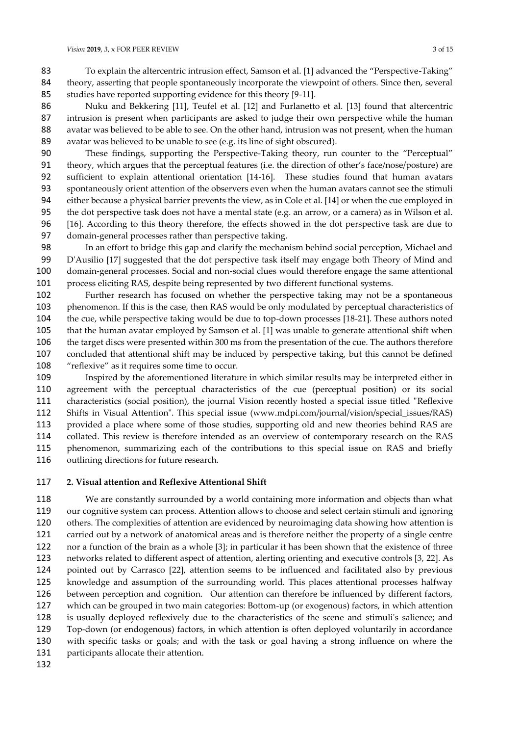Nuku and Bekkering [11], Teufel et al. [12] and Furlanetto et al. [13] found that altercentric intrusion is present when participants are asked to judge their own perspective while the human avatar was believed to be able to see. On the other hand, intrusion was not present, when the human avatar was believed to be unable to see (e.g. its line of sight obscured).

 These findings, supporting the Perspective-Taking theory, run counter to the "Perceptual" theory, which argues that the perceptual features (i.e. the direction of other's face/nose/posture) are sufficient to explain attentional orientation [14-16]. These studies found that human avatars spontaneously orient attention of the observers even when the human avatars cannot see the stimuli either because a physical barrier prevents the view, as in Cole et al. [14] or when the cue employed in the dot perspective task does not have a mental state (e.g. an arrow, or a camera) as in Wilson et al. [16]. According to this theory therefore, the effects showed in the dot perspective task are due to domain-general processes rather than perspective taking.

 In an effort to bridge this gap and clarify the mechanism behind social perception, Michael and D'Ausilio [17] suggested that the dot perspective task itself may engage both Theory of Mind and domain-general processes. Social and non-social clues would therefore engage the same attentional process eliciting RAS, despite being represented by two different functional systems.

 Further research has focused on whether the perspective taking may not be a spontaneous phenomenon. If this is the case, then RAS would be only modulated by perceptual characteristics of the cue, while perspective taking would be due to top-down processes [18-21]. These authors noted that the human avatar employed by Samson et al. [1] was unable to generate attentional shift when the target discs were presented within 300 ms from the presentation of the cue. The authors therefore concluded that attentional shift may be induced by perspective taking, but this cannot be defined "reflexive" as it requires some time to occur.

 Inspired by the aforementioned literature in which similar results may be interpreted either in agreement with the perceptual characteristics of the cue (perceptual position) or its social characteristics (social position), the journal Vision recently hosted a special issue titled "Reflexive Shifts in Visual Attention". This special issue (www.mdpi.com/journal/vision/special\_issues/RAS) provided a place where some of those studies, supporting old and new theories behind RAS are collated. This review is therefore intended as an overview of contemporary research on the RAS phenomenon, summarizing each of the contributions to this special issue on RAS and briefly outlining directions for future research.

# **2. Visual attention and Reflexive Attentional Shift**

 We are constantly surrounded by a world containing more information and objects than what our cognitive system can process. Attention allows to choose and select certain stimuli and ignoring others. The complexities of attention are evidenced by neuroimaging data showing how attention is carried out by a network of anatomical areas and is therefore neither the property of a single centre nor a function of the brain as a whole [3]; in particular it has been shown that the existence of three networks related to different aspect of attention, alerting orienting and executive controls [3, 22]. As pointed out by Carrasco [22], attention seems to be influenced and facilitated also by previous knowledge and assumption of the surrounding world. This places attentional processes halfway between perception and cognition. Our attention can therefore be influenced by different factors, which can be grouped in two main categories: Bottom-up (or exogenous) factors, in which attention is usually deployed reflexively due to the characteristics of the scene and stimuli's salience; and Top-down (or endogenous) factors, in which attention is often deployed voluntarily in accordance with specific tasks or goals; and with the task or goal having a strong influence on where the 131 participants allocate their attention.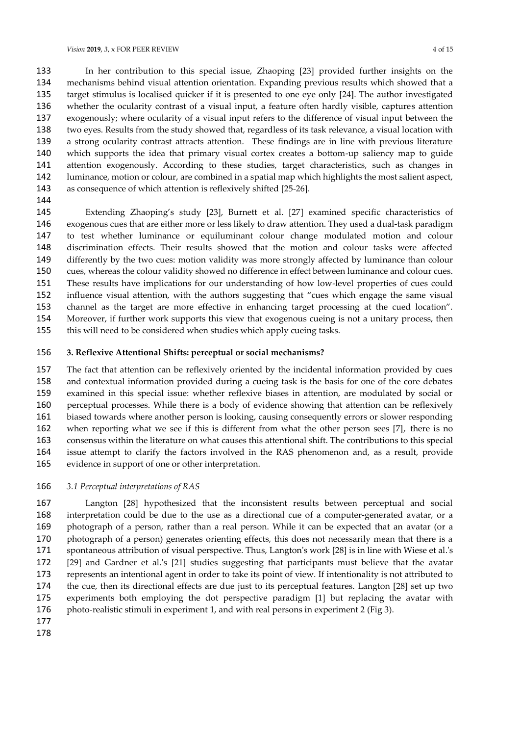In her contribution to this special issue, Zhaoping [23] provided further insights on the mechanisms behind visual attention orientation. Expanding previous results which showed that a target stimulus is localised quicker if it is presented to one eye only [24]. The author investigated whether the ocularity contrast of a visual input, a feature often hardly visible, captures attention exogenously; where ocularity of a visual input refers to the difference of visual input between the two eyes. Results from the study showed that, regardless of its task relevance, a visual location with a strong ocularity contrast attracts attention. These findings are in line with previous literature which supports the idea that primary visual cortex creates a bottom-up saliency map to guide attention exogenously. According to these studies, target characteristics, such as changes in luminance, motion or colour, are combined in a spatial map which highlights the most salient aspect, as consequence of which attention is reflexively shifted [25-26].

 Extending Zhaoping's study [23], Burnett et al. [27] examined specific characteristics of exogenous cues that are either more or less likely to draw attention. They used a dual-task paradigm to test whether luminance or equiluminant colour change modulated motion and colour discrimination effects. Their results showed that the motion and colour tasks were affected differently by the two cues: motion validity was more strongly affected by luminance than colour cues, whereas the colour validity showed no difference in effect between luminance and colour cues. These results have implications for our understanding of how low-level properties of cues could influence visual attention, with the authors suggesting that "cues which engage the same visual channel as the target are more effective in enhancing target processing at the cued location". Moreover, if further work supports this view that exogenous cueing is not a unitary process, then this will need to be considered when studies which apply cueing tasks.

### **3. Reflexive Attentional Shifts: perceptual or social mechanisms?**

 The fact that attention can be reflexively oriented by the incidental information provided by cues and contextual information provided during a cueing task is the basis for one of the core debates examined in this special issue: whether reflexive biases in attention, are modulated by social or perceptual processes. While there is a body of evidence showing that attention can be reflexively biased towards where another person is looking, causing consequently errors or slower responding when reporting what we see if this is different from what the other person sees [7], there is no consensus within the literature on what causes this attentional shift. The contributions to this special issue attempt to clarify the factors involved in the RAS phenomenon and, as a result, provide evidence in support of one or other interpretation.

#### *3.1 Perceptual interpretations of RAS*

 Langton [28] hypothesized that the inconsistent results between perceptual and social interpretation could be due to the use as a directional cue of a computer-generated avatar, or a photograph of a person, rather than a real person. While it can be expected that an avatar (or a photograph of a person) generates orienting effects, this does not necessarily mean that there is a spontaneous attribution of visual perspective. Thus, Langton's work [28] is in line with Wiese et al.'s [29] and Gardner et al.'s [21] studies suggesting that participants must believe that the avatar represents an intentional agent in order to take its point of view. If intentionality is not attributed to the cue, then its directional effects are due just to its perceptual features. Langton [28] set up two experiments both employing the dot perspective paradigm [1] but replacing the avatar with 176 photo-realistic stimuli in experiment 1, and with real persons in experiment 2 (Fig 3).

- 
-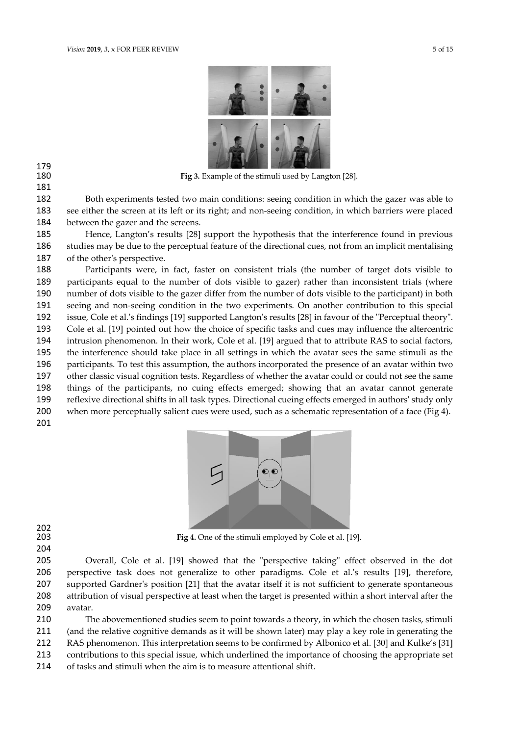

Fig 3. Example of the stimuli used by Langton [28].

 Both experiments tested two main conditions: seeing condition in which the gazer was able to see either the screen at its left or its right; and non-seeing condition, in which barriers were placed between the gazer and the screens.

 Hence, Langton's results [28] support the hypothesis that the interference found in previous studies may be due to the perceptual feature of the directional cues, not from an implicit mentalising of the other's perspective.

 Participants were, in fact, faster on consistent trials (the number of target dots visible to participants equal to the number of dots visible to gazer) rather than inconsistent trials (where number of dots visible to the gazer differ from the number of dots visible to the participant) in both seeing and non-seeing condition in the two experiments. On another contribution to this special issue, Cole et al.'s findings [19] supported Langton's results [28] in favour of the "Perceptual theory". Cole et al. [19] pointed out how the choice of specific tasks and cues may influence the altercentric intrusion phenomenon. In their work, Cole et al. [19] argued that to attribute RAS to social factors, the interference should take place in all settings in which the avatar sees the same stimuli as the participants. To test this assumption, the authors incorporated the presence of an avatar within two other classic visual cognition tests. Regardless of whether the avatar could or could not see the same things of the participants, no cuing effects emerged; showing that an avatar cannot generate reflexive directional shifts in all task types. Directional cueing effects emerged in authors' study only 200 when more perceptually salient cues were used, such as a schematic representation of a face (Fig 4). 



 

Fig 4. One of the stimuli employed by Cole et al. [19].

 Overall, Cole et al. [19] showed that the "perspective taking" effect observed in the dot perspective task does not generalize to other paradigms. Cole et al.'s results [19], therefore, supported Gardner's position [21] that the avatar itself it is not sufficient to generate spontaneous attribution of visual perspective at least when the target is presented within a short interval after the avatar.

 The abovementioned studies seem to point towards a theory, in which the chosen tasks, stimuli (and the relative cognitive demands as it will be shown later) may play a key role in generating the RAS phenomenon. This interpretation seems to be confirmed by Albonico et al. [30] and Kulke's [31] contributions to this special issue, which underlined the importance of choosing the appropriate set of tasks and stimuli when the aim is to measure attentional shift.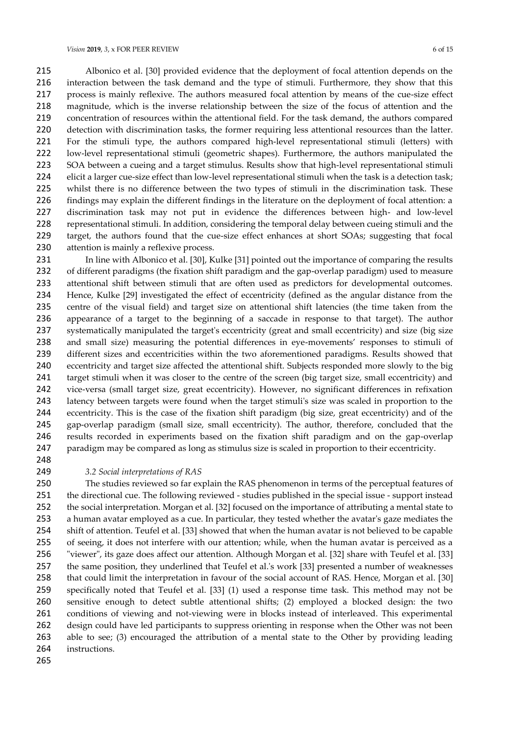Albonico et al. [30] provided evidence that the deployment of focal attention depends on the interaction between the task demand and the type of stimuli. Furthermore, they show that this process is mainly reflexive. The authors measured focal attention by means of the cue-size effect magnitude, which is the inverse relationship between the size of the focus of attention and the concentration of resources within the attentional field. For the task demand, the authors compared detection with discrimination tasks, the former requiring less attentional resources than the latter. For the stimuli type, the authors compared high-level representational stimuli (letters) with low-level representational stimuli (geometric shapes). Furthermore, the authors manipulated the SOA between a cueing and a target stimulus. Results show that high-level representational stimuli elicit a larger cue-size effect than low-level representational stimuli when the task is a detection task; whilst there is no difference between the two types of stimuli in the discrimination task. These findings may explain the different findings in the literature on the deployment of focal attention: a discrimination task may not put in evidence the differences between high- and low-level representational stimuli. In addition, considering the temporal delay between cueing stimuli and the target, the authors found that the cue-size effect enhances at short SOAs; suggesting that focal 230 attention is mainly a reflexive process.

 In line with Albonico et al. [30], Kulke [31] pointed out the importance of comparing the results of different paradigms (the fixation shift paradigm and the gap-overlap paradigm) used to measure attentional shift between stimuli that are often used as predictors for developmental outcomes. Hence, Kulke [29] investigated the effect of eccentricity (defined as the angular distance from the centre of the visual field) and target size on attentional shift latencies (the time taken from the appearance of a target to the beginning of a saccade in response to that target). The author systematically manipulated the target's eccentricity (great and small eccentricity) and size (big size and small size) measuring the potential differences in eye-movements' responses to stimuli of different sizes and eccentricities within the two aforementioned paradigms. Results showed that eccentricity and target size affected the attentional shift. Subjects responded more slowly to the big 241 target stimuli when it was closer to the centre of the screen (big target size, small eccentricity) and vice-versa (small target size, great eccentricity). However, no significant differences in refixation latency between targets were found when the target stimuli's size was scaled in proportion to the eccentricity. This is the case of the fixation shift paradigm (big size, great eccentricity) and of the gap-overlap paradigm (small size, small eccentricity). The author, therefore, concluded that the results recorded in experiments based on the fixation shift paradigm and on the gap-overlap paradigm may be compared as long as stimulus size is scaled in proportion to their eccentricity.

#### *3.2 Social interpretations of RAS*

 The studies reviewed so far explain the RAS phenomenon in terms of the perceptual features of the directional cue. The following reviewed - studies published in the special issue - support instead the social interpretation. Morgan et al. [32] focused on the importance of attributing a mental state to a human avatar employed as a cue. In particular, they tested whether the avatar's gaze mediates the shift of attention. Teufel et al. [33] showed that when the human avatar is not believed to be capable of seeing, it does not interfere with our attention; while, when the human avatar is perceived as a "viewer", its gaze does affect our attention. Although Morgan et al. [32] share with Teufel et al. [33] the same position, they underlined that Teufel et al.'s work [33] presented a number of weaknesses that could limit the interpretation in favour of the social account of RAS. Hence, Morgan et al. [30] specifically noted that Teufel et al. [33] (1) used a response time task. This method may not be sensitive enough to detect subtle attentional shifts; (2) employed a blocked design: the two conditions of viewing and not-viewing were in blocks instead of interleaved. This experimental design could have led participants to suppress orienting in response when the Other was not been 263 able to see; (3) encouraged the attribution of a mental state to the Other by providing leading instructions.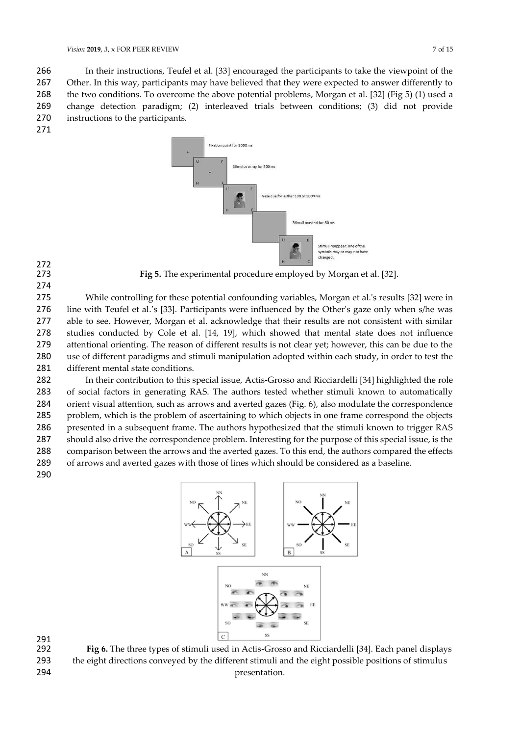In their instructions, Teufel et al. [33] encouraged the participants to take the viewpoint of the 267 Other. In this way, participants may have believed that they were expected to answer differently to the two conditions. To overcome the above potential problems, Morgan et al. [32] (Fig 5) (1) used a change detection paradigm; (2) interleaved trials between conditions; (3) did not provide instructions to the participants.





Fig 5. The experimental procedure employed by Morgan et al. [32].

 While controlling for these potential confounding variables, Morgan et al.'s results [32] were in line with Teufel et al.'s [33]. Participants were influenced by the Other's gaze only when s/he was able to see. However, Morgan et al. acknowledge that their results are not consistent with similar studies conducted by Cole et al. [14, 19], which showed that mental state does not influence attentional orienting. The reason of different results is not clear yet; however, this can be due to the use of different paradigms and stimuli manipulation adopted within each study, in order to test the different mental state conditions.

 In their contribution to this special issue, Actis-Grosso and Ricciardelli [34] highlighted the role of social factors in generating RAS. The authors tested whether stimuli known to automatically orient visual attention, such as arrows and averted gazes (Fig. 6), also modulate the correspondence problem, which is the problem of ascertaining to which objects in one frame correspond the objects presented in a subsequent frame. The authors hypothesized that the stimuli known to trigger RAS should also drive the correspondence problem. Interesting for the purpose of this special issue, is the comparison between the arrows and the averted gazes. To this end, the authors compared the effects of arrows and averted gazes with those of lines which should be considered as a baseline. 



291<br>292

Fig 6. The three types of stimuli used in Actis-Grosso and Ricciardelli [34]. Each panel displays the eight directions conveyed by the different stimuli and the eight possible positions of stimulus 294 presentation.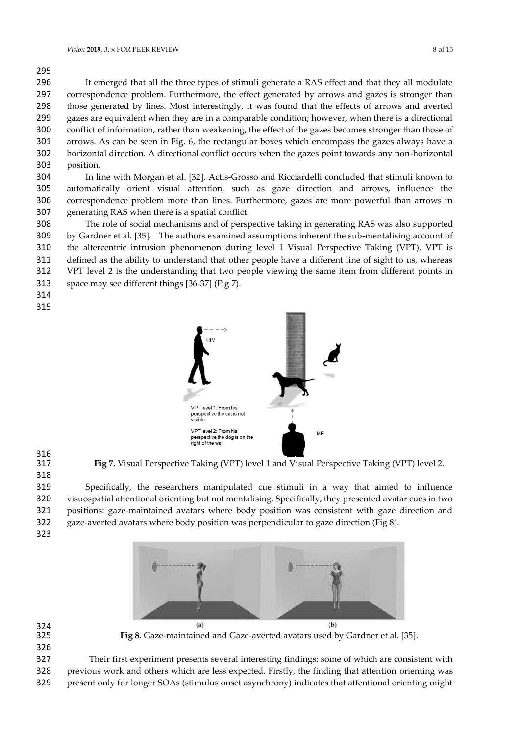It emerged that all the three types of stimuli generate a RAS effect and that they all modulate correspondence problem. Furthermore, the effect generated by arrows and gazes is stronger than those generated by lines. Most interestingly, it was found that the effects of arrows and averted gazes are equivalent when they are in a comparable condition; however, when there is a directional conflict of information, rather than weakening, the effect of the gazes becomes stronger than those of arrows. As can be seen in Fig. 6, the rectangular boxes which encompass the gazes always have a horizontal direction. A directional conflict occurs when the gazes point towards any non-horizontal position.

 In line with Morgan et al. [32], Actis-Grosso and Ricciardelli concluded that stimuli known to automatically orient visual attention, such as gaze direction and arrows, influence the correspondence problem more than lines. Furthermore, gazes are more powerful than arrows in generating RAS when there is a spatial conflict.

 The role of social mechanisms and of perspective taking in generating RAS was also supported by Gardner et al. [35]. The authors examined assumptions inherent the sub-mentalising account of the altercentric intrusion phenomenon during level 1 Visual Perspective Taking (VPT). VPT is defined as the ability to understand that other people have a different line of sight to us, whereas VPT level 2 is the understanding that two people viewing the same item from different points in space may see different things [36-37] (Fig 7).



316<br>317

**Fig 7.** Visual Perspective Taking (VPT) level 1 and Visual Perspective Taking (VPT) level 2.

 Specifically, the researchers manipulated cue stimuli in a way that aimed to influence visuospatial attentional orienting but not mentalising. Specifically, they presented avatar cues in two positions: gaze-maintained avatars where body position was consistent with gaze direction and gaze-averted avatars where body position was perpendicular to gaze direction (Fig 8).



324<br>325 

**Fig 8.** Gaze-maintained and Gaze-averted avatars used by Gardner et al. [35].

 Their first experiment presents several interesting findings; some of which are consistent with previous work and others which are less expected. Firstly, the finding that attention orienting was

present only for longer SOAs (stimulus onset asynchrony) indicates that attentional orienting might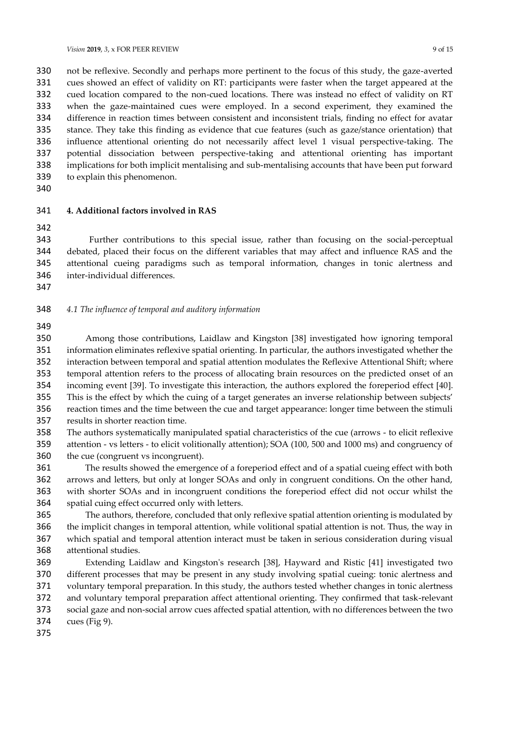not be reflexive. Secondly and perhaps more pertinent to the focus of this study, the gaze-averted cues showed an effect of validity on RT: participants were faster when the target appeared at the cued location compared to the non-cued locations. There was instead no effect of validity on RT when the gaze-maintained cues were employed. In a second experiment, they examined the difference in reaction times between consistent and inconsistent trials, finding no effect for avatar stance. They take this finding as evidence that cue features (such as gaze/stance orientation) that influence attentional orienting do not necessarily affect level 1 visual perspective-taking. The potential dissociation between perspective-taking and attentional orienting has important implications for both implicit mentalising and sub-mentalising accounts that have been put forward to explain this phenomenon.

#### **4. Additional factors involved in RAS**

 Further contributions to this special issue, rather than focusing on the social-perceptual debated, placed their focus on the different variables that may affect and influence RAS and the attentional cueing paradigms such as temporal information, changes in tonic alertness and inter-individual differences.

### *4.1 The influence of temporal and auditory information*

 Among those contributions, Laidlaw and Kingston [38] investigated how ignoring temporal information eliminates reflexive spatial orienting. In particular, the authors investigated whether the interaction between temporal and spatial attention modulates the Reflexive Attentional Shift; where temporal attention refers to the process of allocating brain resources on the predicted onset of an incoming event [39]. To investigate this interaction, the authors explored the foreperiod effect [40]. This is the effect by which the cuing of a target generates an inverse relationship between subjects' reaction times and the time between the cue and target appearance: longer time between the stimuli results in shorter reaction time.

 The authors systematically manipulated spatial characteristics of the cue (arrows - to elicit reflexive attention - vs letters - to elicit volitionally attention); SOA (100, 500 and 1000 ms) and congruency of the cue (congruent vs incongruent).

 The results showed the emergence of a foreperiod effect and of a spatial cueing effect with both arrows and letters, but only at longer SOAs and only in congruent conditions. On the other hand, with shorter SOAs and in incongruent conditions the foreperiod effect did not occur whilst the spatial cuing effect occurred only with letters.

 The authors, therefore, concluded that only reflexive spatial attention orienting is modulated by the implicit changes in temporal attention, while volitional spatial attention is not. Thus, the way in which spatial and temporal attention interact must be taken in serious consideration during visual attentional studies.

 Extending Laidlaw and Kingston's research [38], Hayward and Ristic [41] investigated two different processes that may be present in any study involving spatial cueing: tonic alertness and voluntary temporal preparation. In this study, the authors tested whether changes in tonic alertness and voluntary temporal preparation affect attentional orienting. They confirmed that task-relevant social gaze and non-social arrow cues affected spatial attention, with no differences between the two

cues (Fig 9).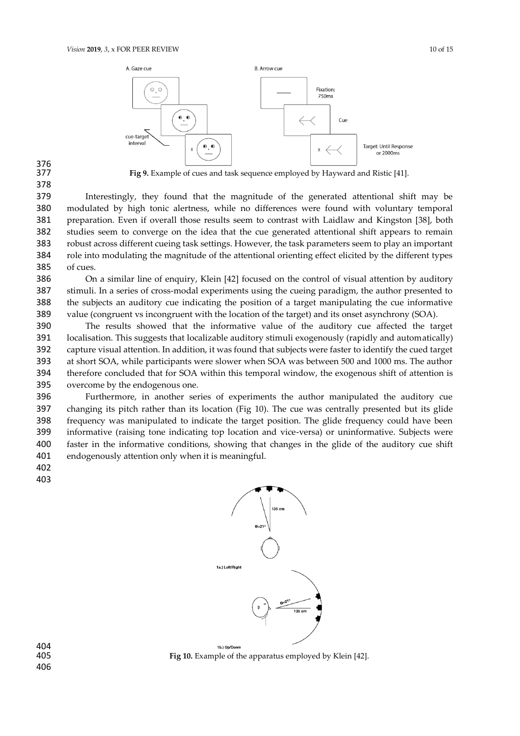

# 376<br>377

Fig 9. Example of cues and task sequence employed by Hayward and Ristic [41].

 Interestingly, they found that the magnitude of the generated attentional shift may be modulated by high tonic alertness, while no differences were found with voluntary temporal preparation. Even if overall those results seem to contrast with Laidlaw and Kingston [38], both studies seem to converge on the idea that the cue generated attentional shift appears to remain robust across different cueing task settings. However, the task parameters seem to play an important role into modulating the magnitude of the attentional orienting effect elicited by the different types of cues.

 On a similar line of enquiry, Klein [42] focused on the control of visual attention by auditory stimuli. In a series of cross-modal experiments using the cueing paradigm, the author presented to the subjects an auditory cue indicating the position of a target manipulating the cue informative value (congruent vs incongruent with the location of the target) and its onset asynchrony (SOA).

 The results showed that the informative value of the auditory cue affected the target localisation. This suggests that localizable auditory stimuli exogenously (rapidly and automatically) capture visual attention. In addition, it was found that subjects were faster to identify the cued target at short SOA, while participants were slower when SOA was between 500 and 1000 ms. The author therefore concluded that for SOA within this temporal window, the exogenous shift of attention is overcome by the endogenous one.

 Furthermore, in another series of experiments the author manipulated the auditory cue changing its pitch rather than its location (Fig 10). The cue was centrally presented but its glide frequency was manipulated to indicate the target position. The glide frequency could have been informative (raising tone indicating top location and vice-versa) or uninformative. Subjects were faster in the informative conditions, showing that changes in the glide of the auditory cue shift endogenously attention only when it is meaningful.

- 
- 



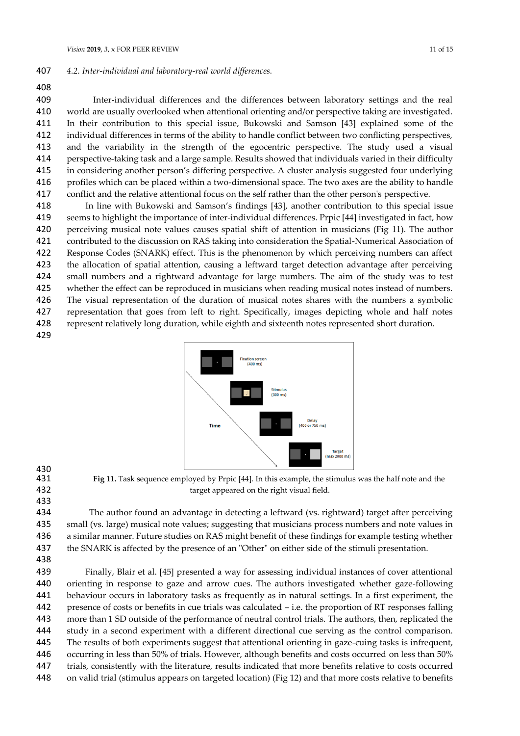### *4.2. Inter-individual and laboratory-real world differences.*

Inter-individual differences and the differences between laboratory settings and the real

 world are usually overlooked when attentional orienting and/or perspective taking are investigated. In their contribution to this special issue, Bukowski and Samson [43] explained some of the individual differences in terms of the ability to handle conflict between two conflicting perspectives, 413 and the variability in the strength of the egocentric perspective. The study used a visual perspective-taking task and a large sample. Results showed that individuals varied in their difficulty in considering another person's differing perspective. A cluster analysis suggested four underlying profiles which can be placed within a two-dimensional space. The two axes are the ability to handle conflict and the relative attentional focus on the self rather than the other person's perspective.

 In line with Bukowski and Samson's findings [43], another contribution to this special issue seems to highlight the importance of inter-individual differences. Prpic [44] investigated in fact, how perceiving musical note values causes spatial shift of attention in musicians (Fig 11). The author contributed to the discussion on RAS taking into consideration the Spatial-Numerical Association of Response Codes (SNARK) effect. This is the phenomenon by which perceiving numbers can affect the allocation of spatial attention, causing a leftward target detection advantage after perceiving small numbers and a rightward advantage for large numbers. The aim of the study was to test whether the effect can be reproduced in musicians when reading musical notes instead of numbers. The visual representation of the duration of musical notes shares with the numbers a symbolic 427 representation that goes from left to right. Specifically, images depicting whole and half notes represent relatively long duration, while eighth and sixteenth notes represented short duration. 



430<br>431

 **Fig 11.** Task sequence employed by Prpic [44]. In this example, the stimulus was the half note and the target appeared on the right visual field.

 The author found an advantage in detecting a leftward (vs. rightward) target after perceiving small (vs. large) musical note values; suggesting that musicians process numbers and note values in a similar manner. Future studies on RAS might benefit of these findings for example testing whether 437 the SNARK is affected by the presence of an "Other" on either side of the stimuli presentation. 

 Finally, Blair et al. [45] presented a way for assessing individual instances of cover attentional orienting in response to gaze and arrow cues. The authors investigated whether gaze-following behaviour occurs in laboratory tasks as frequently as in natural settings. In a first experiment, the presence of costs or benefits in cue trials was calculated – i.e. the proportion of RT responses falling more than 1 SD outside of the performance of neutral control trials. The authors, then, replicated the study in a second experiment with a different directional cue serving as the control comparison. The results of both experiments suggest that attentional orienting in gaze-cuing tasks is infrequent, occurring in less than 50% of trials. However, although benefits and costs occurred on less than 50% trials, consistently with the literature, results indicated that more benefits relative to costs occurred on valid trial (stimulus appears on targeted location) (Fig 12) and that more costs relative to benefits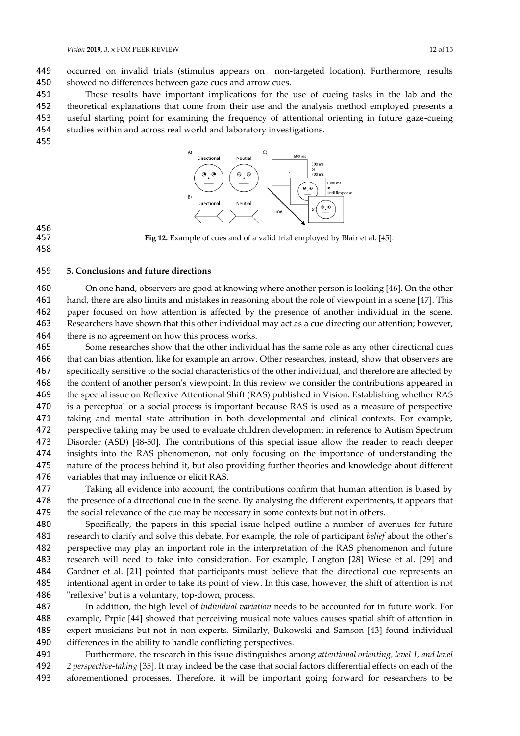occurred on invalid trials (stimulus appears on non-targeted location). Furthermore, results showed no differences between gaze cues and arrow cues.

 These results have important implications for the use of cueing tasks in the lab and the theoretical explanations that come from their use and the analysis method employed presents a useful starting point for examining the frequency of attentional orienting in future gaze-cueing studies within and across real world and laboratory investigations. 



### Fig 12. Example of cues and of a valid trial employed by Blair et al. [45].

# 456<br>457

# **5. Conclusions and future directions**

 On one hand, observers are good at knowing where another person is looking [46]. On the other hand, there are also limits and mistakes in reasoning about the role of viewpoint in a scene [47]. This paper focused on how attention is affected by the presence of another individual in the scene. Researchers have shown that this other individual may act as a cue directing our attention; however, there is no agreement on how this process works.

 Some researches show that the other individual has the same role as any other directional cues that can bias attention, like for example an arrow. Other researches, instead, show that observers are specifically sensitive to the social characteristics of the other individual, and therefore are affected by the content of another person's viewpoint. In this review we consider the contributions appeared in the special issue on Reflexive Attentional Shift (RAS) published in Vision. Establishing whether RAS 470 is a perceptual or a social process is important because RAS is used as a measure of perspective taking and mental state attribution in both developmental and clinical contexts. For example, perspective taking may be used to evaluate children development in reference to Autism Spectrum Disorder (ASD) [48-50]. The contributions of this special issue allow the reader to reach deeper insights into the RAS phenomenon, not only focusing on the importance of understanding the nature of the process behind it, but also providing further theories and knowledge about different variables that may influence or elicit RAS.

 Taking all evidence into account, the contributions confirm that human attention is biased by 478 the presence of a directional cue in the scene. By analysing the different experiments, it appears that the social relevance of the cue may be necessary in some contexts but not in others.

 Specifically, the papers in this special issue helped outline a number of avenues for future research to clarify and solve this debate. For example, the role of participant *belief* about the other's perspective may play an important role in the interpretation of the RAS phenomenon and future research will need to take into consideration. For example, Langton [28] Wiese et al. [29] and Gardner et al. [21] pointed that participants must believe that the directional cue represents an intentional agent in order to take its point of view. In this case, however, the shift of attention is not "reflexive" but is a voluntary, top-down, process.

 In addition, the high level of *individual variation* needs to be accounted for in future work. For example, Prpic [44] showed that perceiving musical note values causes spatial shift of attention in expert musicians but not in non-experts. Similarly, Bukowski and Samson [43] found individual differences in the ability to handle conflicting perspectives.

 Furthermore, the research in this issue distinguishes among *attentional orienting, level 1, and level 2 perspective-taking* [35]. It may indeed be the case that social factors differential effects on each of the aforementioned processes. Therefore, it will be important going forward for researchers to be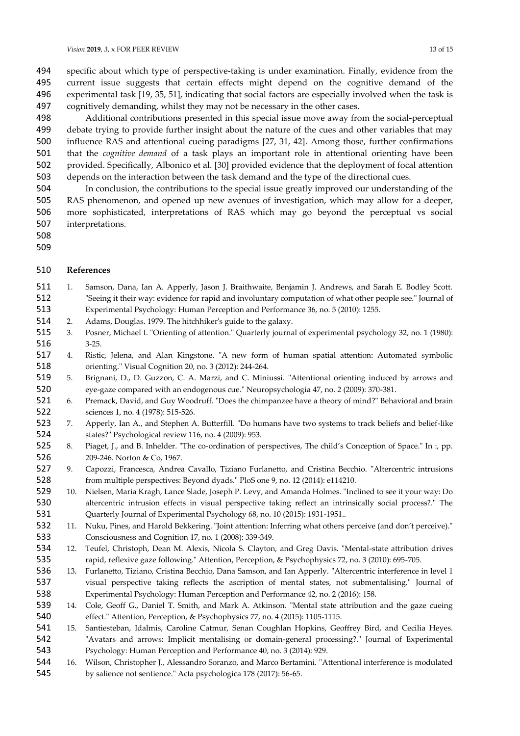specific about which type of perspective-taking is under examination. Finally, evidence from the current issue suggests that certain effects might depend on the cognitive demand of the experimental task [19, 35, 51], indicating that social factors are especially involved when the task is cognitively demanding, whilst they may not be necessary in the other cases.

 Additional contributions presented in this special issue move away from the social-perceptual debate trying to provide further insight about the nature of the cues and other variables that may influence RAS and attentional cueing paradigms [27, 31, 42]. Among those, further confirmations that the *cognitive demand* of a task plays an important role in attentional orienting have been provided. Specifically, Albonico et al. [30] provided evidence that the deployment of focal attention depends on the interaction between the task demand and the type of the directional cues.

 In conclusion, the contributions to the special issue greatly improved our understanding of the RAS phenomenon, and opened up new avenues of investigation, which may allow for a deeper, more sophisticated, interpretations of RAS which may go beyond the perceptual vs social interpretations.

- 
- 

### **References**

- 1. Samson, Dana, Ian A. Apperly, Jason J. Braithwaite, Benjamin J. Andrews, and Sarah E. Bodley Scott. "Seeing it their way: evidence for rapid and involuntary computation of what other people see." Journal of Experimental Psychology: Human Perception and Performance 36, no. 5 (2010): 1255.
- 2. Adams, Douglas. 1979. The hitchhiker's guide to the galaxy.
- 3. Posner, Michael I. "Orienting of attention." Quarterly journal of experimental psychology 32, no. 1 (1980): 3-25.
- 4. Ristic, Jelena, and Alan Kingstone. "A new form of human spatial attention: Automated symbolic orienting." Visual Cognition 20, no. 3 (2012): 244-264.
- 5. Brignani, D., D. Guzzon, C. A. Marzi, and C. Miniussi. "Attentional orienting induced by arrows and eye-gaze compared with an endogenous cue." Neuropsychologia 47, no. 2 (2009): 370-381.
- 6. Premack, David, and Guy Woodruff. "Does the chimpanzee have a theory of mind?" Behavioral and brain sciences 1, no. 4 (1978): 515-526.
- 7. Apperly, Ian A., and Stephen A. Butterfill. "Do humans have two systems to track beliefs and belief-like states?" Psychological review 116, no. 4 (2009): 953.
- 8. Piaget, J., and B. Inhelder. "The co-ordination of perspectives, The child's Conception of Space." In :, pp. 209-246. Norton & Co, 1967.
- 9. Capozzi, Francesca, Andrea Cavallo, Tiziano Furlanetto, and Cristina Becchio. "Altercentric intrusions from multiple perspectives: Beyond dyads." PloS one 9, no. 12 (2014): e114210.
- 10. Nielsen, Maria Kragh, Lance Slade, Joseph P. Levy, and Amanda Holmes. "Inclined to see it your way: Do altercentric intrusion effects in visual perspective taking reflect an intrinsically social process?." The Quarterly Journal of Experimental Psychology 68, no. 10 (2015): 1931-1951..
- 11. Nuku, Pines, and Harold Bekkering. "Joint attention: Inferring what others perceive (and don't perceive)." Consciousness and Cognition 17, no. 1 (2008): 339-349.
- 12. Teufel, Christoph, Dean M. Alexis, Nicola S. Clayton, and Greg Davis. "Mental-state attribution drives rapid, reflexive gaze following." Attention, Perception, & Psychophysics 72, no. 3 (2010): 695-705.
- 13. Furlanetto, Tiziano, Cristina Becchio, Dana Samson, and Ian Apperly. "Altercentric interference in level 1 visual perspective taking reflects the ascription of mental states, not submentalising." Journal of Experimental Psychology: Human Perception and Performance 42, no. 2 (2016): 158.
- 14. Cole, Geoff G., Daniel T. Smith, and Mark A. Atkinson. "Mental state attribution and the gaze cueing effect." Attention, Perception, & Psychophysics 77, no. 4 (2015): 1105-1115.
- 15. Santiesteban, Idalmis, Caroline Catmur, Senan Coughlan Hopkins, Geoffrey Bird, and Cecilia Heyes. "Avatars and arrows: Implicit mentalising or domain-general processing?." Journal of Experimental Psychology: Human Perception and Performance 40, no. 3 (2014): 929.
- 16. Wilson, Christopher J., Alessandro Soranzo, and Marco Bertamini. "Attentional interference is modulated by salience not sentience." Acta psychologica 178 (2017): 56-65.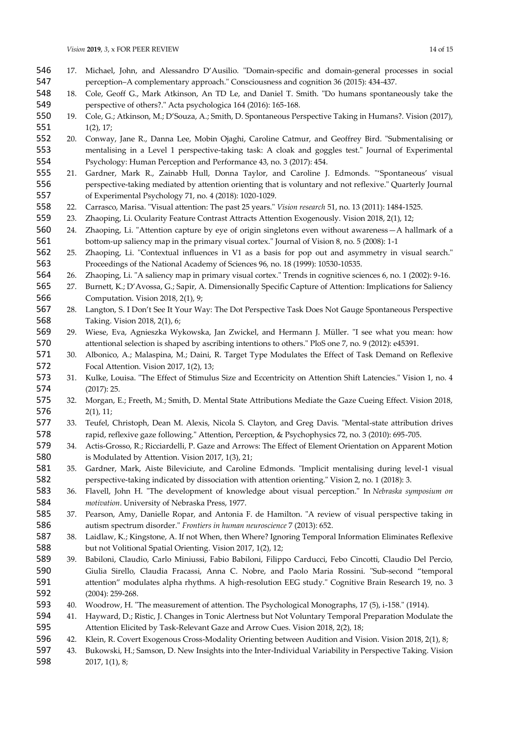- 17. Michael, John, and Alessandro D'Ausilio. "Domain-specific and domain-general processes in social perception–A complementary approach." Consciousness and cognition 36 (2015): 434-437.
- 18. Cole, Geoff G., Mark Atkinson, An TD Le, and Daniel T. Smith. "Do humans spontaneously take the perspective of others?." Acta psychologica 164 (2016): 165-168.
- 19. Cole, G.; Atkinson, M.; D'Souza, A.; Smith, D. Spontaneous Perspective Taking in Humans?. Vision (2017), 1(2), 17;
- 20. Conway, Jane R., Danna Lee, Mobin Ojaghi, Caroline Catmur, and Geoffrey Bird. "Submentalising or mentalising in a Level 1 perspective-taking task: A cloak and goggles test." Journal of Experimental Psychology: Human Perception and Performance 43, no. 3 (2017): 454.
- 21. Gardner, Mark R., Zainabb Hull, Donna Taylor, and Caroline J. Edmonds. "'Spontaneous' visual perspective-taking mediated by attention orienting that is voluntary and not reflexive." Quarterly Journal of Experimental Psychology 71, no. 4 (2018): 1020-1029.
- 22. Carrasco, Marisa. "Visual attention: The past 25 years." *Vision research* 51, no. 13 (2011): 1484-1525.
- 23. Zhaoping, Li. Ocularity Feature Contrast Attracts Attention Exogenously. Vision 2018, 2(1), 12;
- 24. Zhaoping, Li. "Attention capture by eye of origin singletons even without awareness—A hallmark of a bottom-up saliency map in the primary visual cortex." Journal of Vision 8, no. 5 (2008): 1-1
- 25. Zhaoping, Li. "Contextual influences in V1 as a basis for pop out and asymmetry in visual search." Proceedings of the National Academy of Sciences 96, no. 18 (1999): 10530-10535.
- 26. Zhaoping, Li. "A saliency map in primary visual cortex." Trends in cognitive sciences 6, no. 1 (2002): 9-16.
- 27. Burnett, K.; D'Avossa, G.; Sapir, A. Dimensionally Specific Capture of Attention: Implications for Saliency Computation. Vision 2018, 2(1), 9;
- 28. Langton, S. I Don't See It Your Way: The Dot Perspective Task Does Not Gauge Spontaneous Perspective Taking. Vision 2018, 2(1), 6;
- 29. Wiese, Eva, Agnieszka Wykowska, Jan Zwickel, and Hermann J. Müller. "I see what you mean: how attentional selection is shaped by ascribing intentions to others." PloS one 7, no. 9 (2012): e45391.
- 30. Albonico, A.; Malaspina, M.; Daini, R. Target Type Modulates the Effect of Task Demand on Reflexive Focal Attention. Vision 2017, 1(2), 13;
- 573 31. Kulke, Louisa. "The Effect of Stimulus Size and Eccentricity on Attention Shift Latencies." Vision 1, no. 4 (2017): 25.
- 32. Morgan, E.; Freeth, M.; Smith, D. Mental State Attributions Mediate the Gaze Cueing Effect. Vision 2018, 2(1), 11;
- 33. Teufel, Christoph, Dean M. Alexis, Nicola S. Clayton, and Greg Davis. "Mental-state attribution drives rapid, reflexive gaze following." Attention, Perception, & Psychophysics 72, no. 3 (2010): 695-705.
- 34. Actis-Grosso, R.; Ricciardelli, P. Gaze and Arrows: The Effect of Element Orientation on Apparent Motion is Modulated by Attention. Vision 2017, 1(3), 21;
- 35. Gardner, Mark, Aiste Bileviciute, and Caroline Edmonds. "Implicit mentalising during level-1 visual perspective-taking indicated by dissociation with attention orienting." Vision 2, no. 1 (2018): 3.
- 36. Flavell, John H. "The development of knowledge about visual perception." In *Nebraska symposium on motivation*. University of Nebraska Press, 1977.
- 37. Pearson, Amy, Danielle Ropar, and Antonia F. de Hamilton. "A review of visual perspective taking in autism spectrum disorder." *Frontiers in human neuroscience* 7 (2013): 652.
- 38. Laidlaw, K.; Kingstone, A. If not When, then Where? Ignoring Temporal Information Eliminates Reflexive but not Volitional Spatial Orienting. Vision 2017, 1(2), 12;
- 39. Babiloni, Claudio, Carlo Miniussi, Fabio Babiloni, Filippo Carducci, Febo Cincotti, Claudio Del Percio, Giulia Sirello, Claudia Fracassi, Anna C. Nobre, and Paolo Maria Rossini. "Sub-second "temporal attention" modulates alpha rhythms. A high-resolution EEG study." Cognitive Brain Research 19, no. 3 (2004): 259-268.
- 40. Woodrow, H. "The measurement of attention. The Psychological Monographs, 17 (5), i-158." (1914).
- 41. Hayward, D.; Ristic, J. Changes in Tonic Alertness but Not Voluntary Temporal Preparation Modulate the Attention Elicited by Task-Relevant Gaze and Arrow Cues. Vision 2018, 2(2), 18;
- 42. Klein, R. Covert Exogenous Cross-Modality Orienting between Audition and Vision. Vision 2018, 2(1), 8;
- 43. Bukowski, H.; Samson, D. New Insights into the Inter-Individual Variability in Perspective Taking. Vision 2017, 1(1), 8;